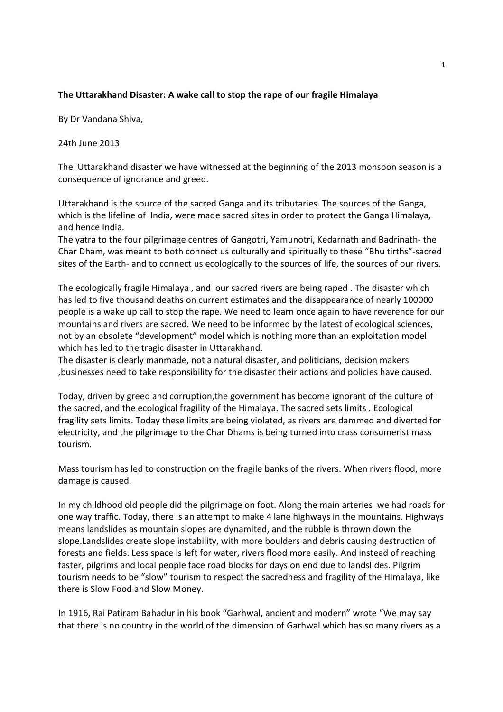## The Uttarakhand Disaster: A wake call to stop the rape of our fragile Himalaya

By Dr Vandana Shiva,

24th June 2013

The Uttarakhand disaster we have witnessed at the beginning of the 2013 monsoon season is a consequence of ignorance and greed.

Uttarakhand is the source of the sacred Ganga and its tributaries. The sources of the Ganga, which is the lifeline of India, were made sacred sites in order to protect the Ganga Himalaya, and hence India.

The yatra to the four pilgrimage centres of Gangotri, Yamunotri, Kedarnath and Badrinath- the Char Dham, was meant to both connect us culturally and spiritually to these "Bhu tirths"-sacred sites of the Earth- and to connect us ecologically to the sources of life, the sources of our rivers.

The ecologically fragile Himalaya , and our sacred rivers are being raped . The disaster which has led to five thousand deaths on current estimates and the disappearance of nearly 100000 people is a wake up call to stop the rape. We need to learn once again to have reverence for our mountains and rivers are sacred. We need to be informed by the latest of ecological sciences, not by an obsolete "development" model which is nothing more than an exploitation model which has led to the tragic disaster in Uttarakhand.

The disaster is clearly manmade, not a natural disaster, and politicians, decision makers ,businesses need to take responsibility for the disaster their actions and policies have caused.

Today, driven by greed and corruption,the government has become ignorant of the culture of the sacred, and the ecological fragility of the Himalaya. The sacred sets limits . Ecological fragility sets limits. Today these limits are being violated, as rivers are dammed and diverted for electricity, and the pilgrimage to the Char Dhams is being turned into crass consumerist mass tourism.

Mass tourism has led to construction on the fragile banks of the rivers. When rivers flood, more damage is caused.

In my childhood old people did the pilgrimage on foot. Along the main arteries we had roads for one way traffic. Today, there is an attempt to make 4 lane highways in the mountains. Highways means landslides as mountain slopes are dynamited, and the rubble is thrown down the slope.Landslides create slope instability, with more boulders and debris causing destruction of forests and fields. Less space is left for water, rivers flood more easily. And instead of reaching faster, pilgrims and local people face road blocks for days on end due to landslides. Pilgrim tourism needs to be "slow" tourism to respect the sacredness and fragility of the Himalaya, like there is Slow Food and Slow Money.

In 1916, Rai Patiram Bahadur in his book "Garhwal, ancient and modern" wrote "We may say that there is no country in the world of the dimension of Garhwal which has so many rivers as a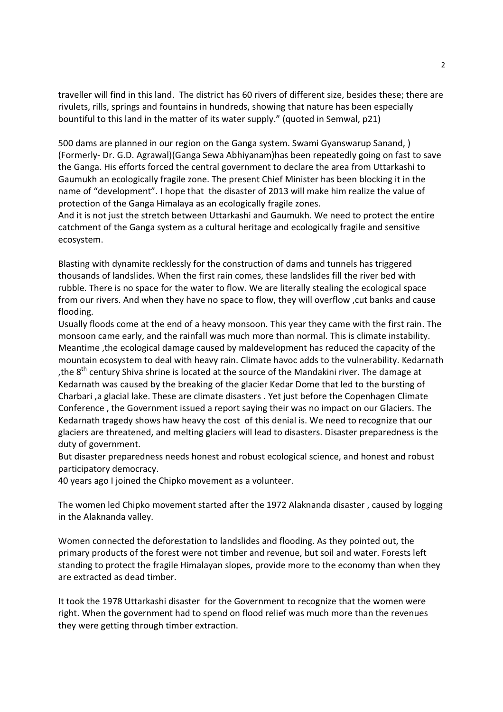traveller will find in this land. The district has 60 rivers of different size, besides these; there are rivulets, rills, springs and fountains in hundreds, showing that nature has been especially bountiful to this land in the matter of its water supply." (quoted in Semwal, p21)

500 dams are planned in our region on the Ganga system. Swami Gyanswarup Sanand, ) (Formerly- Dr. G.D. Agrawal)(Ganga Sewa Abhiyanam)has been repeatedly going on fast to save the Ganga. His efforts forced the central government to declare the area from Uttarkashi to Gaumukh an ecologically fragile zone. The present Chief Minister has been blocking it in the name of "development". I hope that the disaster of 2013 will make him realize the value of protection of the Ganga Himalaya as an ecologically fragile zones.

And it is not just the stretch between Uttarkashi and Gaumukh. We need to protect the entire catchment of the Ganga system as a cultural heritage and ecologically fragile and sensitive ecosystem.

Blasting with dynamite recklessly for the construction of dams and tunnels has triggered thousands of landslides. When the first rain comes, these landslides fill the river bed with rubble. There is no space for the water to flow. We are literally stealing the ecological space from our rivers. And when they have no space to flow, they will overflow ,cut banks and cause flooding.

Usually floods come at the end of a heavy monsoon. This year they came with the first rain. The monsoon came early, and the rainfall was much more than normal. This is climate instability. Meantime ,the ecological damage caused by maldevelopment has reduced the capacity of the mountain ecosystem to deal with heavy rain. Climate havoc adds to the vulnerability. Kedarnath , the  $8<sup>th</sup>$  century Shiva shrine is located at the source of the Mandakini river. The damage at Kedarnath was caused by the breaking of the glacier Kedar Dome that led to the bursting of Charbari ,a glacial lake. These are climate disasters . Yet just before the Copenhagen Climate Conference , the Government issued a report saying their was no impact on our Glaciers. The Kedarnath tragedy shows haw heavy the cost of this denial is. We need to recognize that our glaciers are threatened, and melting glaciers will lead to disasters. Disaster preparedness is the duty of government.

But disaster preparedness needs honest and robust ecological science, and honest and robust participatory democracy.

40 years ago I joined the Chipko movement as a volunteer.

The women led Chipko movement started after the 1972 Alaknanda disaster , caused by logging in the Alaknanda valley.

Women connected the deforestation to landslides and flooding. As they pointed out, the primary products of the forest were not timber and revenue, but soil and water. Forests left standing to protect the fragile Himalayan slopes, provide more to the economy than when they are extracted as dead timber.

It took the 1978 Uttarkashi disaster for the Government to recognize that the women were right. When the government had to spend on flood relief was much more than the revenues they were getting through timber extraction.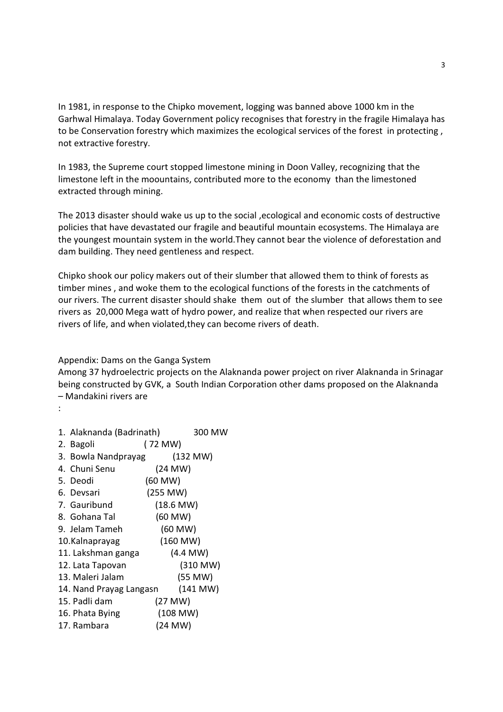In 1981, in response to the Chipko movement, logging was banned above 1000 km in the Garhwal Himalaya. Today Government policy recognises that forestry in the fragile Himalaya has to be Conservation forestry which maximizes the ecological services of the forest in protecting , not extractive forestry.

In 1983, the Supreme court stopped limestone mining in Doon Valley, recognizing that the limestone left in the moountains, contributed more to the economy than the limestoned extracted through mining.

The 2013 disaster should wake us up to the social ,ecological and economic costs of destructive policies that have devastated our fragile and beautiful mountain ecosystems. The Himalaya are the youngest mountain system in the world.They cannot bear the violence of deforestation and dam building. They need gentleness and respect.

Chipko shook our policy makers out of their slumber that allowed them to think of forests as timber mines , and woke them to the ecological functions of the forests in the catchments of our rivers. The current disaster should shake them out of the slumber that allows them to see rivers as 20,000 Mega watt of hydro power, and realize that when respected our rivers are rivers of life, and when violated,they can become rivers of death.

Appendix: Dams on the Ganga System

Among 37 hydroelectric projects on the Alaknanda power project on river Alaknanda in Srinagar being constructed by GVK, a South Indian Corporation other dams proposed on the Alaknanda – Mandakini rivers are

:

| 1. Alaknanda (Badrinath)<br>300 MW  |
|-------------------------------------|
| (72 MW)                             |
| (132 MW)<br>3. Bowla Nandprayag     |
| (24 MW)                             |
| $(60$ MW $)$                        |
| (255 MW)                            |
| (18.6 MW)                           |
| (60 MW)                             |
| (60 MW)                             |
| (160 MW)                            |
| $(4.4$ MW $)$<br>11. Lakshman ganga |
| (310 MW)                            |
| (55 MW)                             |
| (141 MW)<br>14. Nand Prayag Langasn |
| (27 MW)                             |
| (108 MW)                            |
| (24 MW)                             |
|                                     |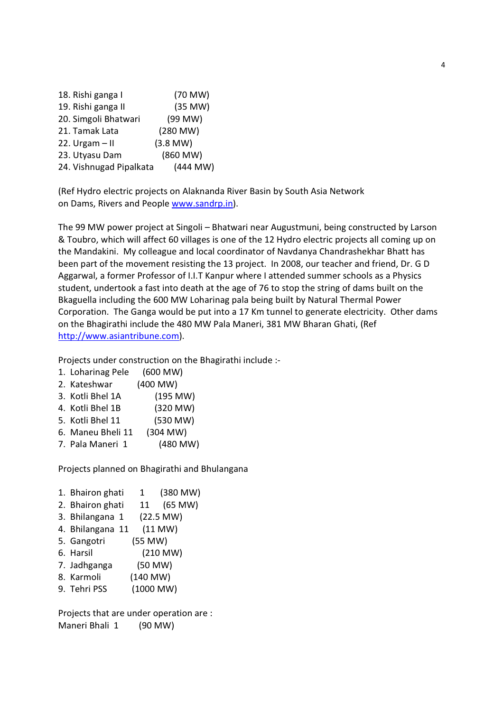| 18. Rishi ganga I       | (70 MW)       |
|-------------------------|---------------|
| 19. Rishi ganga II      | (35 MW)       |
| 20. Simgoli Bhatwari    | (99 MW)       |
| 21. Tamak Lata          | $(280$ MW $)$ |
| 22. Urgam $-$ II        | $(3.8$ MW $)$ |
| 23. Utyasu Dam          | (860 MW)      |
| 24. Vishnugad Pipalkata | $(444$ MW)    |

(Ref Hydro electric projects on Alaknanda River Basin by South Asia Network on Dams, Rivers and People www.sandrp.in).

The 99 MW power project at Singoli – Bhatwari near Augustmuni, being constructed by Larson & Toubro, which will affect 60 villages is one of the 12 Hydro electric projects all coming up on the Mandakini. My colleague and local coordinator of Navdanya Chandrashekhar Bhatt has been part of the movement resisting the 13 project. In 2008, our teacher and friend, Dr. G D Aggarwal, a former Professor of I.I.T Kanpur where I attended summer schools as a Physics student, undertook a fast into death at the age of 76 to stop the string of dams built on the Bkaguella including the 600 MW Loharinag pala being built by Natural Thermal Power Corporation. The Ganga would be put into a 17 Km tunnel to generate electricity. Other dams on the Bhagirathi include the 480 MW Pala Maneri, 381 MW Bharan Ghati, (Ref http://www.asiantribune.com).

Projects under construction on the Bhagirathi include :-

- 1. Loharinag Pele (600 MW)
- 2. Kateshwar (400 MW)
- 3. Kotli Bhel 1A (195 MW)
- 4. Kotli Bhel 1B (320 MW)
- 5. Kotli Bhel 11 (530 MW)
- 6. Maneu Bheli 11 (304 MW)
- 7. Pala Maneri 1 (480 MW)

Projects planned on Bhagirathi and Bhulangana

- 1. Bhairon ghati 1 (380 MW)
- 2. Bhairon ghati 11 (65 MW)
- 3. Bhilangana 1 (22.5 MW)
- 4. Bhilangana 11 (11 MW)
- 5. Gangotri (55 MW)
- 6. Harsil (210 MW)
- 7. Jadhganga (50 MW)
- 8. Karmoli (140 MW)
- 9. Tehri PSS (1000 MW)

Projects that are under operation are : Maneri Bhali 1 (90 MW)